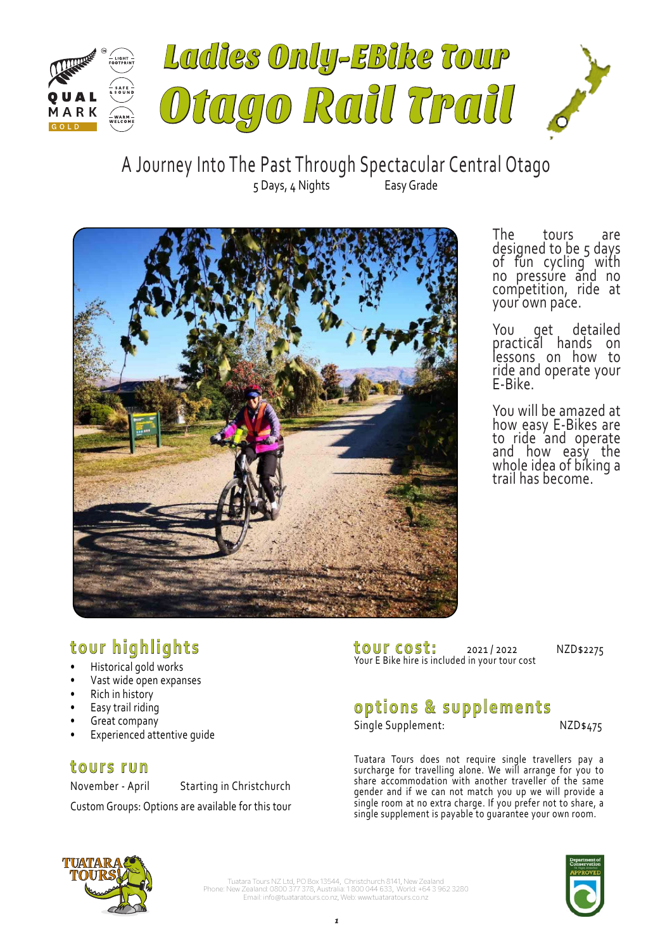

# 5 Days, 4 Nights Easy Grade A Journey Into The Past Through Spectacular Central Otago



The tours are designed to be 5 days of fun cycling with no pressure and no competition, ride at your own pace.

You get detailed practical hands on lessons on how to ride and operate your E-Bike.

You will be amazed at how easy E-Bikes are to ride and operate and how easy the whole idea of biking a trail has become.

# **tour highlights**

- Historical gold works
- Vast wide open expanses
- Rich in history
- Easy trail riding
- Great company
- Experienced attentive quide

### **tours run**

November - April Starting in Christchurch

Custom Groups: Options are available for this tour

**tour cost:** 2021 / 2022 NZD\$2275 Your E Bike hire is included in your tour cost

# **options & supplements**

Single Supplement: NZD\$475

Tuatara Tours does not require single travellers pay a surcharge for travelling alone. We will arrange for you to share accommodation with another traveller of the same gender and if we can not match you up we will provide a single room at no extra charge. If you prefer not to share, a single supplement is payable to quarantee your own room.



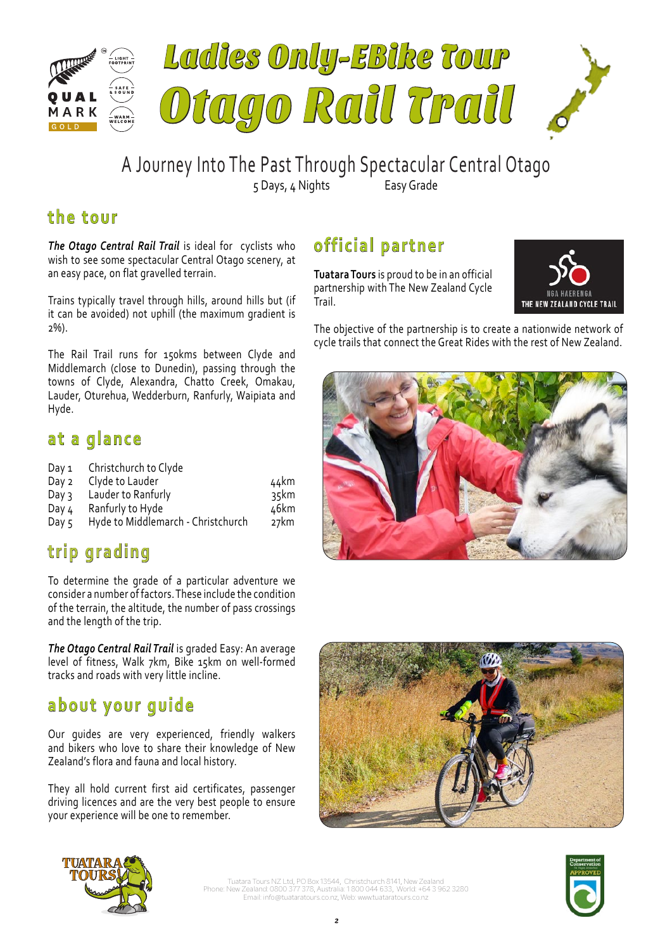

5 Days, 4 Nights Easy Grade A Journey Into The Past Through Spectacular Central Otago

Trail.

**official partner**

**Tuatara Tours** is proud to be in an official partnership with The New Zealand Cycle

# **the tour**

*The Otago Central Rail Trail* is ideal for cyclists who wish to see some spectacular Central Otago scenery, at an easy pace, on flat gravelled terrain.

Trains typically travel through hills, around hills but (if it can be avoided) not uphill (the maximum gradient is 2%).

The Rail Trail runs for 150kms between Clyde and Middlemarch (close to Dunedin), passing through the towns of Clyde, Alexandra, Chatto Creek, Omakau, Lauder, Oturehua, Wedderburn, Ranfurly, Waipiata and Hyde.

# **at a glance**

| Day 1 | Christchurch to Clyde              |      |
|-------|------------------------------------|------|
| Day 2 | Clyde to Lauder                    | 44km |
| Day 3 | Lauder to Ranfurly                 | 35km |
| Day 4 | Ranfurly to Hyde                   | 46km |
| Day 5 | Hyde to Middlemarch - Christchurch | 27km |

# **trip grading**

To determine the grade of a particular adventure we consider a number of factors. These include the condition of the terrain, the altitude, the number of pass crossings and the length of the trip.

*The Otago Central Rail Trail* is graded Easy: An average level of fitness, Walk 7km, Bike 15km on well-formed tracks and roads with very little incline.

# **about your guide**

Our guides are very experienced, friendly walkers and bikers who love to share their knowledge of New Zealand's flora and fauna and local history.

They all hold current first aid certificates, passenger driving licences and are the very best people to ensure your experience will be one to remember.



Tuatara Tours NZ Ltd, PO Box 13544, Christchurch 8141, New Zealand Phone: New Zealand: 0800 377 378, Australia: 1 800 044 633, World: +64 3 962 3280 Email: info@tuataratours.co.nz, Web: www.tuataratours.co.nz



The objective of the partnership is to create a nationwide network of cycle trails that connect the Great Rides with the rest of New Zealand.



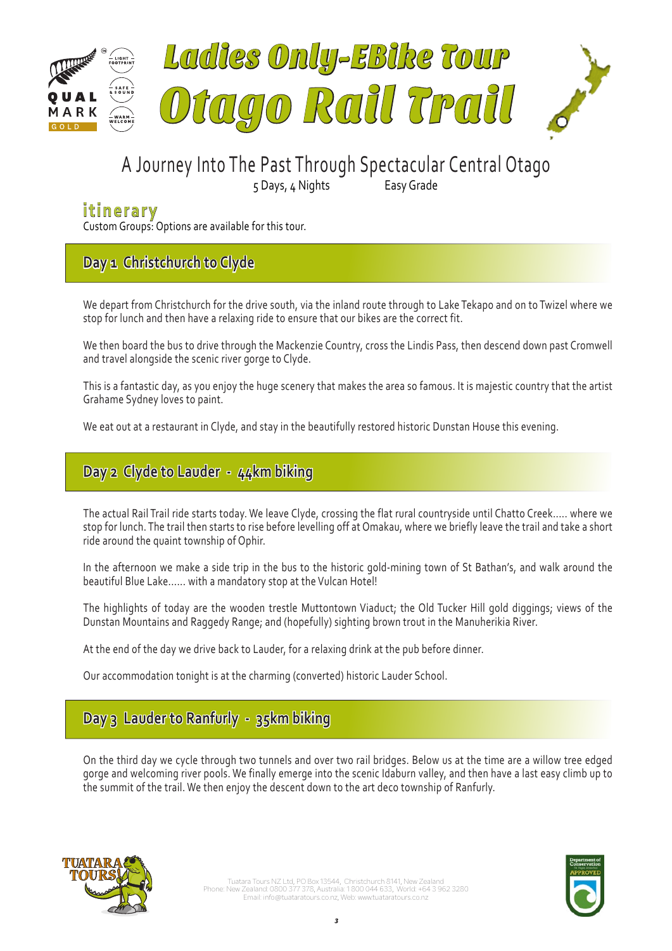

# A Journey Into The Past Through Spectacular Central Otago

5 Days, 4 Nights Easy Grade

# **itinerary**

Custom Groups: Options are available for this tour.

### **Day 1 Christchurch to Clyde**

We depart from Christchurch for the drive south, via the inland route through to Lake Tekapo and on to Twizel where we stop for lunch and then have a relaxing ride to ensure that our bikes are the correct fit.

We then board the bus to drive through the Mackenzie Country, cross the Lindis Pass, then descend down past Cromwell and travel alongside the scenic river gorge to Clyde.

This is a fantastic day, as you enjoy the huge scenery that makes the area so famous. It is majestic country that the artist Grahame Sydney loves to paint.

We eat out at a restaurant in Clyde, and stay in the beautifully restored historic Dunstan House this evening.

### **Day 2 Clyde to Lauder - 44km biking**

The actual Rail Trail ride starts today. We leave Clyde, crossing the flat rural countryside until Chatto Creek..... where we stop for lunch. The trail then starts to rise before levelling off at Omakau, where we briefly leave the trail and take a short ride around the quaint township of Ophir.

In the afternoon we make a side trip in the bus to the historic gold-mining town of St Bathan's, and walk around the beautiful Blue Lake...... with a mandatory stop at the Vulcan Hotel!

The highlights of today are the wooden trestle Muttontown Viaduct; the Old Tucker Hill gold diggings; views of the Dunstan Mountains and Raggedy Range; and (hopefully) sighting brown trout in the Manuherikia River.

At the end of the day we drive back to Lauder, for a relaxing drink at the pub before dinner.

Our accommodation tonight is at the charming (converted) historic Lauder School.

## **Day 3 Lauder to Ranfurly - 35km biking**

On the third day we cycle through two tunnels and over two rail bridges. Below us at the time are a willow tree edged gorge and welcoming river pools. We finally emerge into the scenic Idaburn valley, and then have a last easy climb up to the summit of the trail. We then enjoy the descent down to the art deco township of Ranfurly.



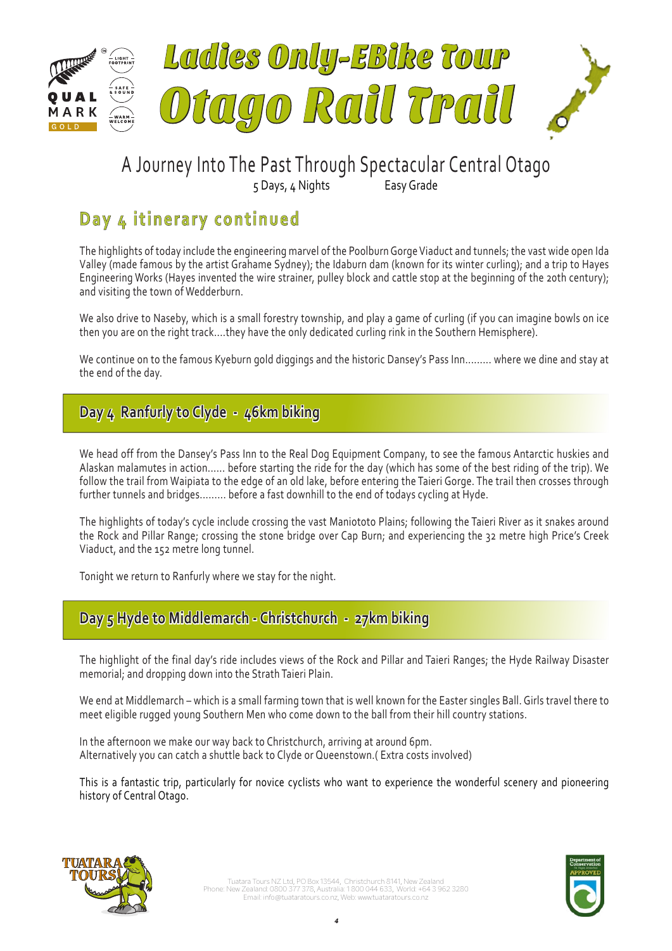

# A Journey Into The Past Through Spectacular Central Otago

5 Days, 4 Nights Easy Grade

# **Day 4 itinerary continued**

The highlights of today include the engineering marvel of the Poolburn Gorge Viaduct and tunnels; the vast wide open Ida Valley (made famous by the artist Grahame Sydney); the Idaburn dam (known for its winter curling); and a trip to Hayes Engineering Works (Hayes invented the wire strainer, pulley block and cattle stop at the beginning of the 20th century); and visiting the town of Wedderburn.

We also drive to Naseby, which is a small forestry township, and play a game of curling (if you can imagine bowls on ice then you are on the right track....they have the only dedicated curling rink in the Southern Hemisphere).

We continue on to the famous Kyeburn gold diggings and the historic Dansey's Pass Inn......... where we dine and stay at the end of the day.

# **Day 4 Ranfurly to Clyde - 46km biking**

We head off from the Dansey's Pass Inn to the Real Dog Equipment Company, to see the famous Antarctic huskies and Alaskan malamutes in action...... before starting the ride for the day (which has some of the best riding of the trip). We follow the trail from Waipiata to the edge of an old lake, before entering the Taieri Gorge. The trail then crosses through further tunnels and bridges......... before a fast downhill to the end of todays cycling at Hyde.

The highlights of today's cycle include crossing the vast Maniototo Plains; following the Taieri River as it snakes around the Rock and Pillar Range; crossing the stone bridge over Cap Burn; and experiencing the 32 metre high Price's Creek Viaduct, and the 152 metre long tunnel.

Tonight we return to Ranfurly where we stay for the night.

## **Day 5 Hyde to Middlemarch - Christchurch - 27km biking**

The highlight of the final day's ride includes views of the Rock and Pillar and Taieri Ranges; the Hyde Railway Disaster memorial; and dropping down into the Strath Taieri Plain.

We end at Middlemarch – which is a small farming town that is well known for the Easter singles Ball. Girls travel there to meet eligible rugged young Southern Men who come down to the ball from their hill country stations.

In the afternoon we make our way back to Christchurch, arriving at around 6pm. Alternatively you can catch a shuttle back to Clyde or Queenstown.( Extra costs involved)

This is a fantastic trip, particularly for novice cyclists who want to experience the wonderful scenery and pioneering history of Central Otago.



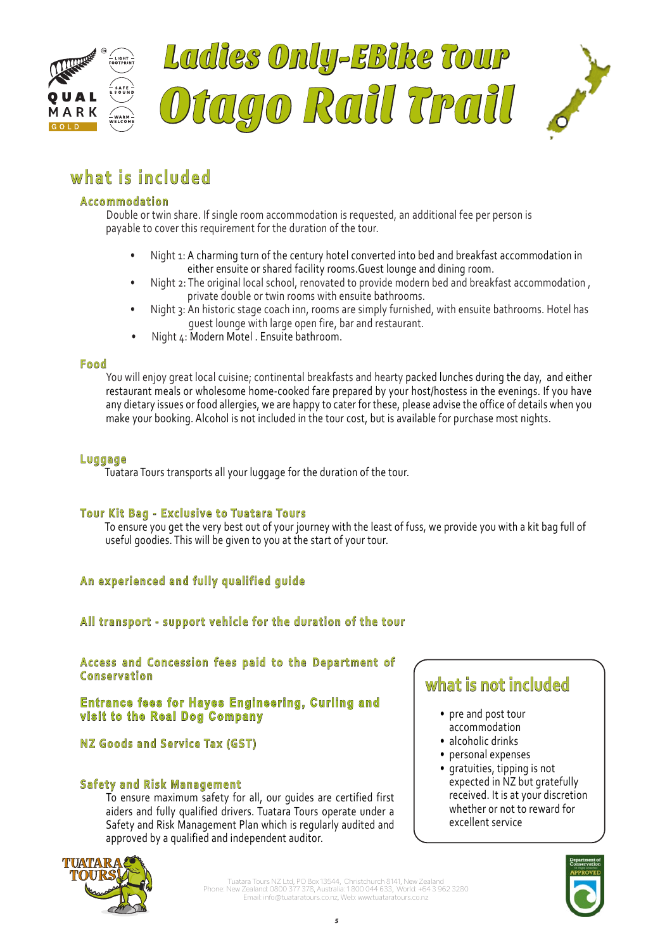





#### A Journey Into The Past Through Spectacular Central Otago **what is included**

#### **Accommodation**

 Double or twin share. If single room accommodation is requested, an additional fee per person is payable to cover this requirement for the duration of the tour.

- Night 1: A charming turn of the century hotel converted into bed and breakfast accommodation in either ensuite or shared facility rooms.Guest lounge and dining room.
- Night 2: The original local school, renovated to provide modern bed and breakfast accommodation , private double or twin rooms with ensuite bathrooms.
- Night 3: An historic stage coach inn, rooms are simply furnished, with ensuite bathrooms. Hotel has guest lounge with large open fire, bar and restaurant.
- Night 4: Modern Motel . Ensuite bathroom.

#### **Food**

You will enjoy great local cuisine; continental breakfasts and hearty packed lunches during the day, and either restaurant meals or wholesome home-cooked fare prepared by your host/hostess in the evenings. If you have any dietary issues or food allergies, we are happy to cater for these, please advise the office of details when you make your booking. Alcohol is not included in the tour cost, but is available for purchase most nights.

#### **Luggage**

Tuatara Tours transports all your luggage for the duration of the tour.

#### **Tour Kit Bag - Exclusive to Tuatara Tours**

 To ensure you get the very best out of your journey with the least of fuss, we provide you with a kit bag full of useful goodies. This will be given to you at the start of your tour.

#### **An experienced and fully qualified guide**

**All transport - support vehicle for the duration of the tour**

**Access and Concession fees paid to the Department of Conservation**

**Entrance fees for Hayes Engineering, Curling and visit to the Real Dog Company**

#### **NZ Goods and Service Tax (GST)**

#### **Safety and Risk Management**

To ensure maximum safety for all, our guides are certified first aiders and fully qualified drivers. Tuatara Tours operate under a Safety and Risk Management Plan which is regularly audited and approved by a qualified and independent auditor.

# TIJATAR **POIT**

# **what is not included**

- pre and post tour accommodation
- alcoholic drinks
- personal expenses
- gratuities, tipping is not expected in NZ but gratefully received. It is at your discretion whether or not to reward for excellent service

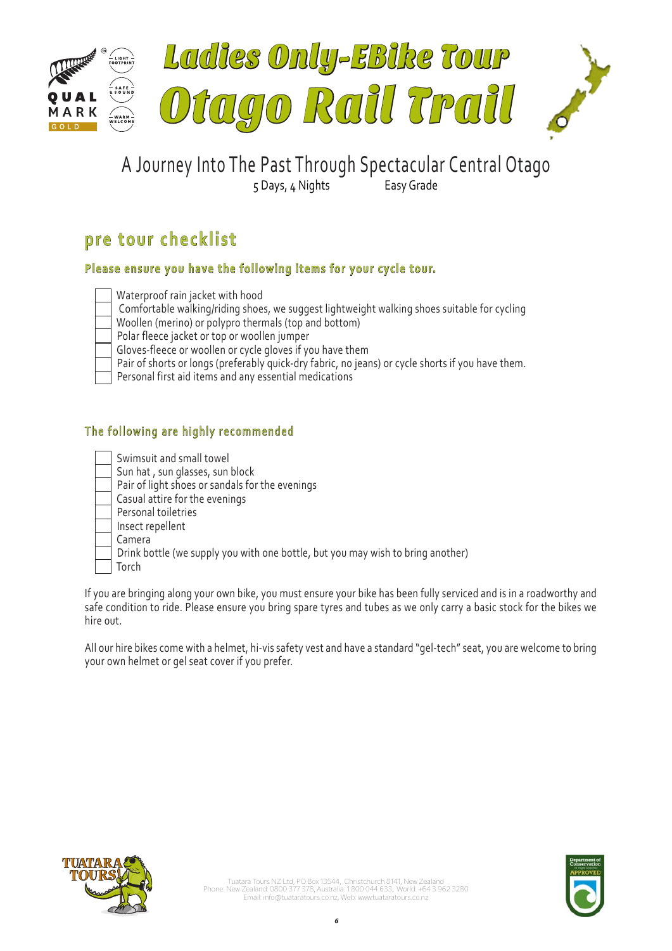

### 5 Days, 4 Nights Easy Grade A Journey Into The Past Through Spectacular Central Otago

# **pre tour checklist**

#### **Please ensure you have the following items for your cycle tour.**

- Waterproof rain jacket with hood
- Comfortable walking/riding shoes, we suggest lightweight walking shoes suitable for cycling

• Woollen (merino) or polypro thermals (top and bottom)

• Polar fleece jacket or top or woollen jumper

Gloves-fleece or woollen or cycle gloves if you have them

Pair of shorts or longs (preferably quick-dry fabric, no jeans) or cycle shorts if you have them.

Personal first aid items and any essential medications

#### The following are highly recommended

|  | Swimsuit and small towel                        |
|--|-------------------------------------------------|
|  | Sun hat, sun glasses, sun block                 |
|  | Pair of light shoes or sandals for the evenings |
|  | Casual attire for the evenings                  |
|  | Personal toiletries                             |
|  | Insect repellent                                |
|  |                                                 |

- Camera
	- Drink bottle (we supply you with one bottle, but you may wish to bring another)
- **Torch**

If you are bringing along your own bike, you must ensure your bike has been fully serviced and is in a roadworthy and safe condition to ride. Please ensure you bring spare tyres and tubes as we only carry a basic stock for the bikes we hire out.

All our hire bikes come with a helmet, hi-vis safety vest and have a standard "gel-tech" seat, you are welcome to bring your own helmet or gel seat cover if you prefer.

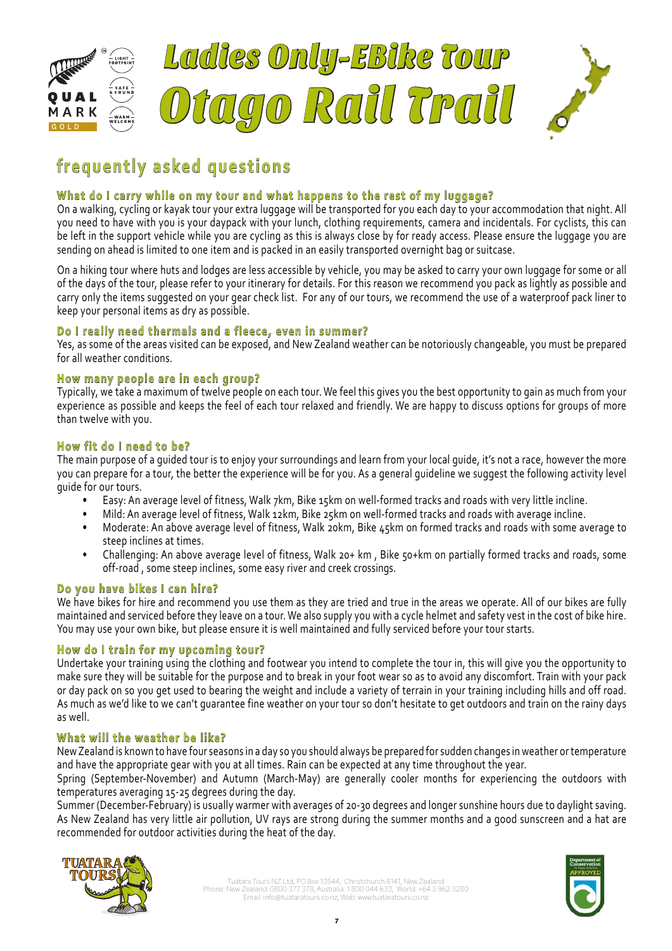

# A Journey Into The Past Through Spectacular Central Otago **frequently asked questions**

#### $\overline{5}$   $\overline{6}$   $\overline{1}$   $\overline{2}$   $\overline{4}$   $\overline{4}$   $\overline{4}$   $\overline{4}$   $\overline{4}$   $\overline{4}$   $\overline{4}$   $\overline{4}$   $\overline{4}$   $\overline{4}$   $\overline{4}$   $\overline{4}$   $\overline{4}$   $\overline{4}$   $\overline{4}$   $\overline{4}$   $\overline{4}$   $\overline{4}$   $\overline{4}$   $\overline{4}$   $\overline{$ **What do I carry while on my tour and what happens to the rest of my luggage?**

On a walking, cycling or kayak tour your extra luggage will be transported for you each day to your accommodation that night. All you need to have with you is your daypack with your lunch, clothing requirements, camera and incidentals. For cyclists, this can be left in the support vehicle while you are cycling as this is always close by for ready access. Please ensure the luggage you are sending on ahead is limited to one item and is packed in an easily transported overnight bag or suitcase.

On a hiking tour where huts and lodges are less accessible by vehicle, you may be asked to carry your own luggage for some or all of the days of the tour, please refer to your itinerary for details. For this reason we recommend you pack as lightly as possible and carry only the items suggested on your gear check list. For any of our tours, we recommend the use of a waterproof pack liner to keep your personal items as dry as possible.

#### **Do I really need thermals and a fleece, even in summer?**

Yes, as some of the areas visited can be exposed, and New Zealand weather can be notoriously changeable, you must be prepared for all weather conditions.

#### **How many people are in each group?**

Typically, we take a maximum of twelve people on each tour. We feel this gives you the best opportunity to gain as much from your experience as possible and keeps the feel of each tour relaxed and friendly. We are happy to discuss options for groups of more than twelve with you.

#### **How fit do I need to be?**

The main purpose of a guided tour is to enjoy your surroundings and learn from your local guide, it's not a race, however the more you can prepare for a tour, the better the experience will be for you. As a general guideline we suggest the following activity level guide for our tours.

- Easy: An average level of fitness, Walk 7km, Bike 15km on well-formed tracks and roads with very little incline.
- Mild: An average level of fitness, Walk 12km, Bike 25km on well-formed tracks and roads with average incline.
- Moderate: An above average level of fitness, Walk 20km, Bike 45km on formed tracks and roads with some average to steep inclines at times.
- Challenging: An above average level of fitness, Walk 20+ km , Bike 50+km on partially formed tracks and roads, some off-road , some steep inclines, some easy river and creek crossings.

#### **Do you have bikes I can hire?**

We have bikes for hire and recommend you use them as they are tried and true in the areas we operate. All of our bikes are fully maintained and serviced before they leave on a tour. We also supply you with a cycle helmet and safety vest in the cost of bike hire. You may use your own bike, but please ensure it is well maintained and fully serviced before your tour starts.

#### **How do I train for my upcoming tour?**

Undertake your training using the clothing and footwear you intend to complete the tour in, this will give you the opportunity to make sure they will be suitable for the purpose and to break in your foot wear so as to avoid any discomfort. Train with your pack or day pack on so you get used to bearing the weight and include a variety of terrain in your training including hills and off road. As much as we'd like to we can't guarantee fine weather on your tour so don't hesitate to get outdoors and train on the rainy days as well.

#### **What will the weather be like?**

New Zealand is known to have four seasons in a day so you should always be prepared for sudden changes in weather or temperature and have the appropriate gear with you at all times. Rain can be expected at any time throughout the year.

Spring (September-November) and Autumn (March-May) are generally cooler months for experiencing the outdoors with temperatures averaging 15-25 degrees during the day.

Summer (December-February) is usually warmer with averages of 20-30 degrees and longer sunshine hours due to daylight saving. As New Zealand has very little air pollution, UV rays are strong during the summer months and a good sunscreen and a hat are recommended for outdoor activities during the heat of the day.



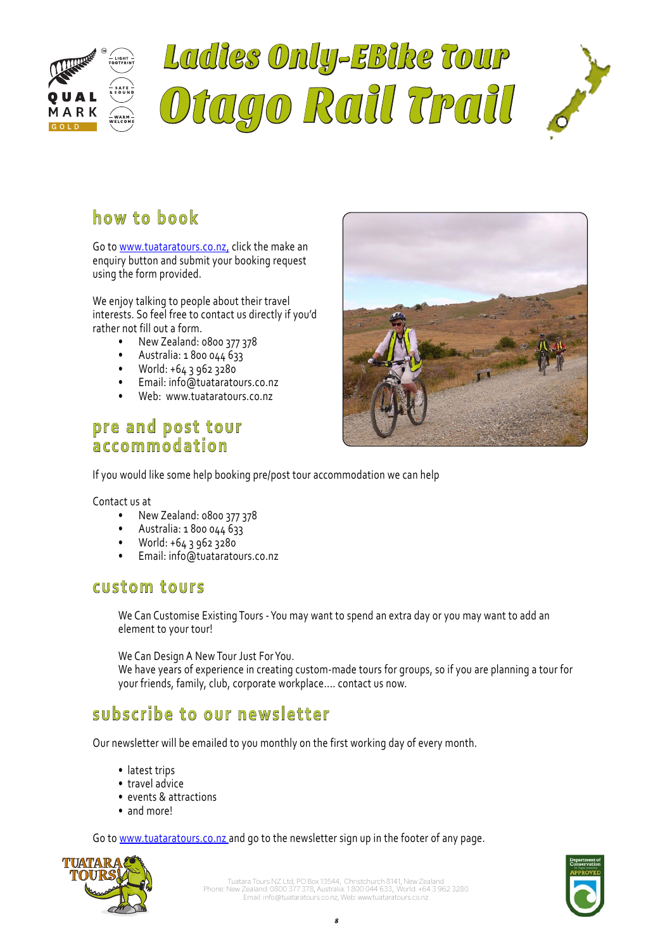



# **how to book**

Go to www.tuataratours.co.nz, click the make an enquiry button and submit your booking request using the form provided.

We enjoy talking to people about their travel interests. So feel free to contact us directly if you'd rather not fill out a form.

- New Zealand: 0800 377 378
- Australia: 1 800 044 633
- World: +64 3 962 3280
- Email: info@tuataratours.co.nz
- Web: www.tuataratours.co.nz

### **pre and post tour accommodation**



If you would like some help booking pre/post tour accommodation we can help

Contact us at

- New Zealand: 0800 377 378
- Australia:  $1800044633$
- World: +64 3 962 3280
- Email: info@tuataratours.co.nz

### **custom tours**

We Can Customise Existing Tours - You may want to spend an extra day or you may want to add an element to your tour!

We Can Design A New Tour Just For You.

We have years of experience in creating custom-made tours for groups, so if you are planning a tour for your friends, family, club, corporate workplace.... contact us now.

# **subscribe to our newsletter**

Our newsletter will be emailed to you monthly on the first working day of every month.

- latest trips
- travel advice
- events & attractions
- and more!

Go to www.tuataratours.co.nz and go to the newsletter sign up in the footer of any page.

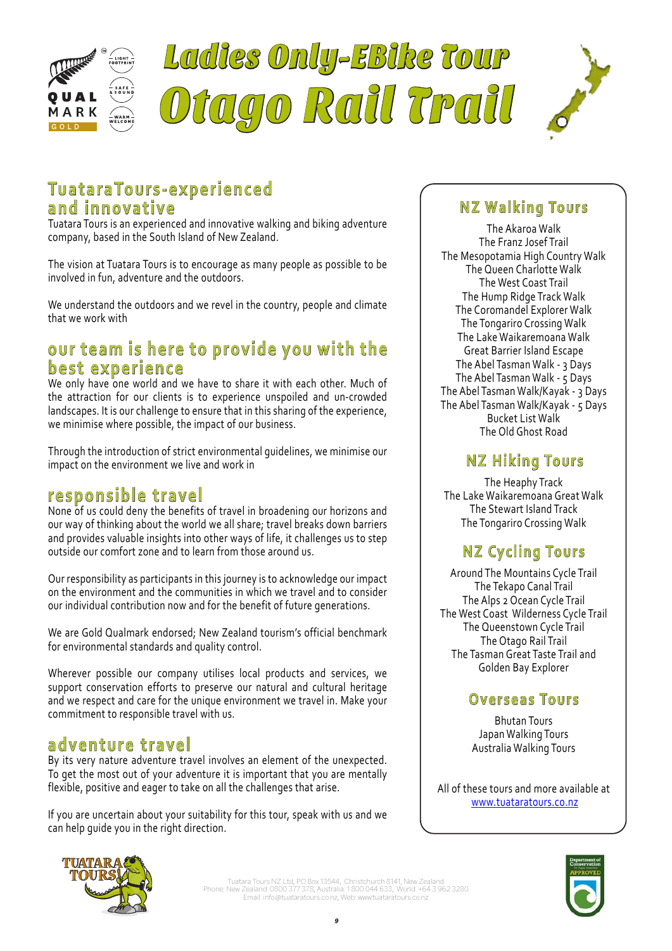

# Ladies Only-EBike Tour Otago Rail Trail



# 5 Days, 4 Nights Easy Grade **TuataraTours-experienced and innovative**

Tuatara Tours is an experienced and innovative walking and biking adventure company, based in the South Island of New Zealand.

The vision at Tuatara Tours is to encourage as many people as possible to be involved in fun, adventure and the outdoors.

We understand the outdoors and we revel in the country, people and climate that we work with

# our team is here to provide you with the **best experience**

We only have one world and we have to share it with each other. Much of the attraction for our clients is to experience unspoiled and un-crowded landscapes. It is our challenge to ensure that in this sharing of the experience, we minimise where possible, the impact of our business.

Through the introduction of strict environmental guidelines, we minimise our impact on the environment we live and work in

# **responsible travel**

None of us could deny the benefits of travel in broadening our horizons and our way of thinking about the world we all share; travel breaks down barriers and provides valuable insights into other ways of life, it challenges us to step outside our comfort zone and to learn from those around us.

Our responsibility as participants in this journey is to acknowledge our impact on the environment and the communities in which we travel and to consider our individual contribution now and for the benefit of future generations.

We are Gold Qualmark endorsed; New Zealand tourism's official benchmark for environmental standards and quality control.

Wherever possible our company utilises local products and services, we support conservation efforts to preserve our natural and cultural heritage and we respect and care for the unique environment we travel in. Make your commitment to responsible travel with us.

# **adventure travel**

By its very nature adventure travel involves an element of the unexpected. To get the most out of your adventure it is important that you are mentally flexible, positive and eager to take on all the challenges that arise.

If you are uncertain about your suitability for this tour, speak with us and we can help guide you in the right direction.

# **NZ Walking Tours**

The Akaroa Walk The Franz Josef Trail The Mesopotamia High Country Walk The Queen Charlotte Walk The West Coast Trail The Hump Ridge Track Walk The Coromandel Explorer Walk The Tongariro Crossing Walk The Lake Waikaremoana Walk Great Barrier Island Escape The Abel Tasman Walk - 3 Days The Abel Tasman Walk - 5 Days The Abel Tasman Walk/Kayak - 3 Days The Abel Tasman Walk/Kayak - 5 Days Bucket List Walk The Old Ghost Road

# **NZ Hiking Tours**

The Heaphy Track The Lake Waikaremoana Great Walk The Stewart Island Track The Tongariro Crossing Walk

# **NZ Cycling Tours**

Around The Mountains Cycle Trail The Tekapo Canal Trail The Alps 2 Ocean Cycle Trail The West Coast Wilderness Cycle Trail The Queenstown Cycle Trail The Otago Rail Trail The Tasman Great Taste Trail and Golden Bay Explorer

## **Overseas Tours**

Bhutan Tours Japan Walking Tours Australia Walking Tours

All of these tours and more available at www.tuataratours.co.nz



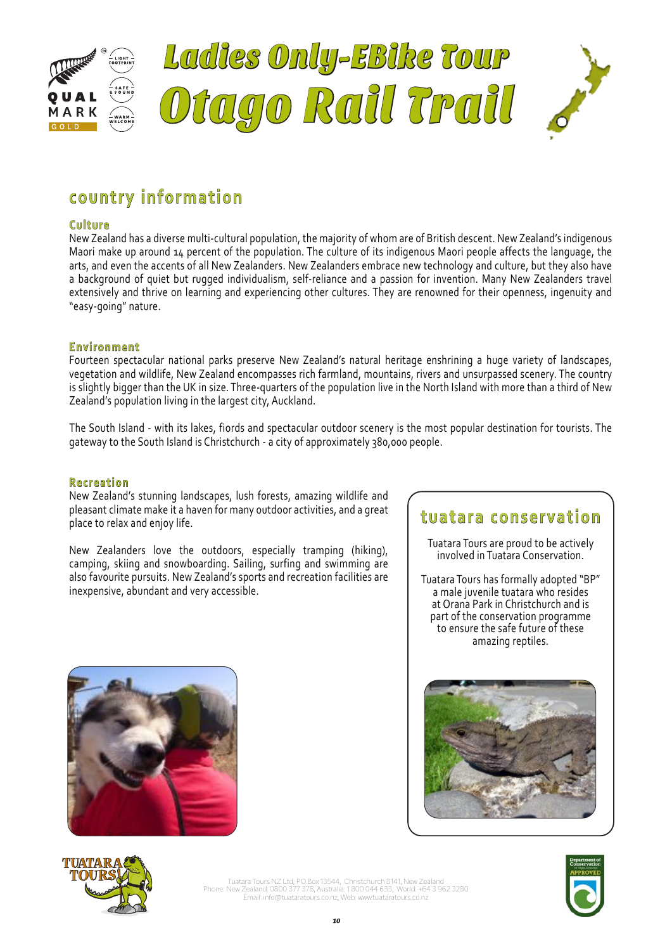

# **country information**

#### **Culture**

New Zealand has a diverse multi-cultural population, the majority of whom are of British descent. New Zealand's indigenous Maori make up around 14 percent of the population. The culture of its indigenous Maori people affects the language, the arts, and even the accents of all New Zealanders. New Zealanders embrace new technology and culture, but they also have a background of quiet but rugged individualism, self-reliance and a passion for invention. Many New Zealanders travel extensively and thrive on learning and experiencing other cultures. They are renowned for their openness, ingenuity and "easy-going" nature.

#### **Environment**

Fourteen spectacular national parks preserve New Zealand's natural heritage enshrining a huge variety of landscapes, vegetation and wildlife, New Zealand encompasses rich farmland, mountains, rivers and unsurpassed scenery. The country is slightly bigger than the UK in size. Three-quarters of the population live in the North Island with more than a third of New Zealand's population living in the largest city, Auckland.

The South Island - with its lakes, fiords and spectacular outdoor scenery is the most popular destination for tourists. The gateway to the South Island is Christchurch - a city of approximately 380,000 people.

#### **Recreation**

New Zealand's stunning landscapes, lush forests, amazing wildlife and pleasant climate make it a haven for many outdoor activities, and a great place to relax and enjoy life.

New Zealanders love the outdoors, especially tramping (hiking), camping, skiing and snowboarding. Sailing, surfing and swimming are also favourite pursuits. New Zealand's sports and recreation facilities are inexpensive, abundant and very accessible.



## **tuatara conservation**

Tuatara Tours are proud to be actively involved in Tuatara Conservation.

Tuatara Tours has formally adopted "BP" a male juvenile tuatara who resides at Orana Park in Christchurch and is part of the conservation programme to ensure the safe future of these amazing reptiles.